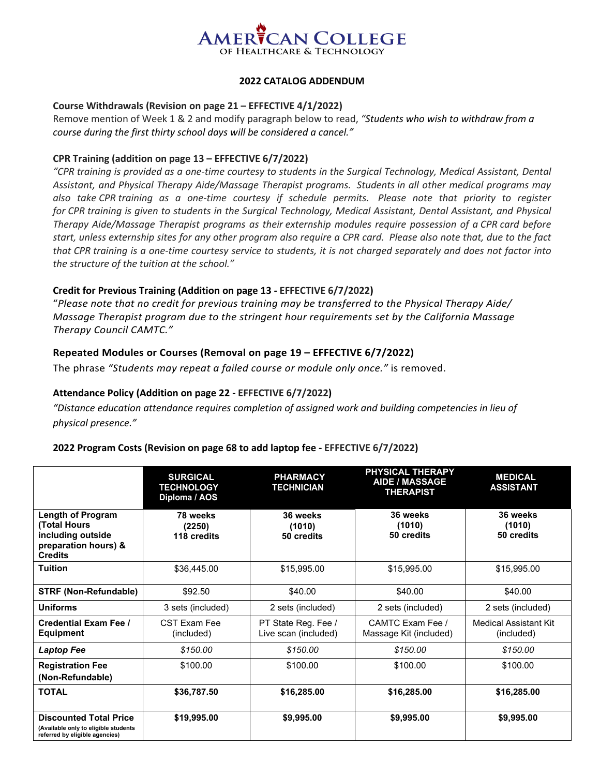

# **2022 CATALOG ADDENDUM**

#### **Course Withdrawals (Revision on page 21 – EFFECTIVE 4/1/2022)**

Remove mention of Week 1 & 2 and modify paragraph below to read, *"Students who wish to withdraw from a course during the first thirty school days will be considered a cancel."*

#### **CPR Training (addition on page 13 – EFFECTIVE 6/7/2022)**

*"CPR training is provided as a one-time courtesy to students in the Surgical Technology, Medical Assistant, Dental Assistant, and Physical Therapy Aide/Massage Therapist programs. Students in all other medical programs may also take CPR training as a one-time courtesy if schedule permits. Please note that priority to register for CPR training is given to students in the Surgical Technology, Medical Assistant, Dental Assistant, and Physical Therapy Aide/Massage Therapist programs as their externship modules require possession of a CPR card before start, unless externship sites for any other program also require a CPR card. Please also note that, due to the fact that CPR training is a one-time courtesy service to students, it is not charged separately and does not factor into the structure of the tuition at the school."*

# **Credit for Previous Training (Addition on page 13 - EFFECTIVE 6/7/2022)**

"*Please note that no credit for previous training may be transferred to the Physical Therapy Aide/ Massage Therapist program due to the stringent hour requirements set by the California Massage Therapy Council CAMTC."*

# **Repeated Modules or Courses (Removal on page 19 – EFFECTIVE 6/7/2022)**

The phrase *"Students may repeat a failed course or module only once."* is removed.

# **Attendance Policy (Addition on page 22 - EFFECTIVE 6/7/2022)**

*"Distance education attendance requires completion of assigned work and building competencies in lieu of physical presence."*

#### **2022 Program Costs (Revision on page 68 to add laptop fee - EFFECTIVE 6/7/2022)**

|                                                                                                                 | <b>SURGICAL</b><br><b>TECHNOLOGY</b><br>Diploma / AOS | <b>PHARMACY</b><br><b>TECHNICIAN</b>        | <b>PHYSICAL THERAPY</b><br><b>AIDE / MASSAGE</b><br><b>THERAPIST</b> | <b>MEDICAL</b><br><b>ASSISTANT</b>         |
|-----------------------------------------------------------------------------------------------------------------|-------------------------------------------------------|---------------------------------------------|----------------------------------------------------------------------|--------------------------------------------|
| <b>Length of Program</b><br><b>(Total Hours)</b><br>including outside<br>preparation hours) &<br><b>Credits</b> | 78 weeks<br>(2250)<br>118 credits                     | 36 weeks<br>(1010)<br>50 credits            | 36 weeks<br>(1010)<br>50 credits                                     | 36 weeks<br>(1010)<br>50 credits           |
| <b>Tuition</b>                                                                                                  | \$36,445.00                                           | \$15,995.00                                 | \$15,995.00                                                          | \$15,995.00                                |
| <b>STRF (Non-Refundable)</b>                                                                                    | \$92.50                                               | \$40.00                                     | \$40.00                                                              | \$40.00                                    |
| Uniforms                                                                                                        | 3 sets (included)                                     | 2 sets (included)                           | 2 sets (included)                                                    | 2 sets (included)                          |
| <b>Credential Exam Fee /</b><br><b>Equipment</b>                                                                | CST Fxam Fee<br>(included)                            | PT State Reg. Fee /<br>Live scan (included) | CAMTC Fxam Fee /<br>Massage Kit (included)                           | <b>Medical Assistant Kit</b><br>(included) |
| Laptop Fee                                                                                                      | \$150.00                                              | \$150.00                                    | \$150.00                                                             | \$150.00                                   |
| <b>Registration Fee</b><br>(Non-Refundable)                                                                     | \$100.00                                              | \$100.00                                    | \$100.00                                                             | \$100.00                                   |
| <b>TOTAL</b>                                                                                                    | \$36,787.50                                           | \$16,285.00                                 | \$16,285.00                                                          | \$16,285.00                                |
| <b>Discounted Total Price</b><br>(Available only to eligible students<br>referred by eligible agencies)         | \$19,995.00                                           | \$9,995.00                                  | \$9,995.00                                                           | \$9,995.00                                 |